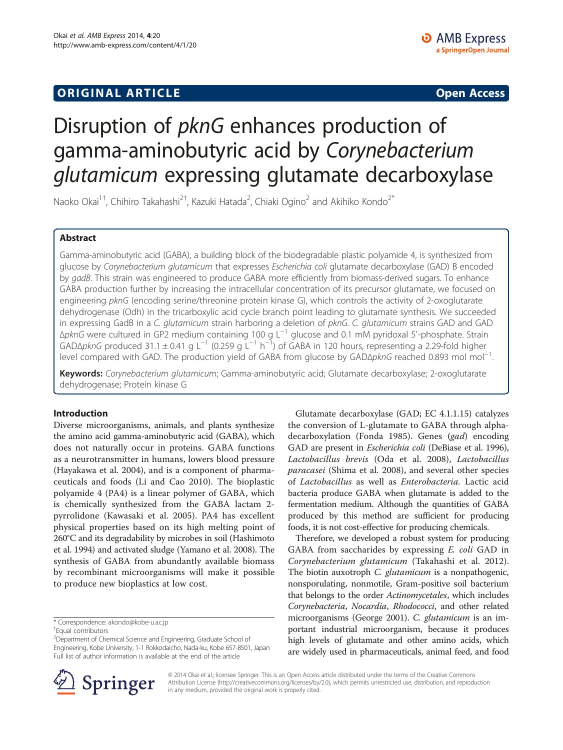# **ORIGINAL ARTICLE CONSERVANCE IN A LOCAL CONSERVANCE IN A LOCAL CONSERVANCE IN A LOCAL CONSERVANCE IN A LOCAL CONSERVANCE IN A LOCAL CONSERVANCE IN A LOCAL CONSERVANCE IN A LOCAL CONSERVANCE IN A LOCAL CONSERVANCE IN A L**

# Disruption of pknG enhances production of gamma-aminobutyric acid by Corynebacterium glutamicum expressing glutamate decarboxylase

Naoko Okai $^{\rm 1+}$ , Chihiro Takahashi $^{\rm 2+}$ , Kazuki Hatada $^{\rm 2}$ , Chiaki Ogino $^{\rm 2}$  and Akihiko Kondo $^{\rm 2^*}$ 

# Abstract

Gamma-aminobutyric acid (GABA), a building block of the biodegradable plastic polyamide 4, is synthesized from glucose by Corynebacterium glutamicum that expresses Escherichia coli glutamate decarboxylase (GAD) B encoded by gadB. This strain was engineered to produce GABA more efficiently from biomass-derived sugars. To enhance GABA production further by increasing the intracellular concentration of its precursor glutamate, we focused on engineering pknG (encoding serine/threonine protein kinase G), which controls the activity of 2-oxoglutarate dehydrogenase (Odh) in the tricarboxylic acid cycle branch point leading to glutamate synthesis. We succeeded in expressing GadB in a C. glutamicum strain harboring a deletion of pknG. C. glutamicum strains GAD and GAD ΔpknG were cultured in GP2 medium containing 100 g L−<sup>1</sup> glucose and 0.1 mM pyridoxal 5′-phosphate. Strain GAD∆pknG produced 31.1 ± 0.41 g L<sup>-1</sup> (0.259 g L<sup>-1</sup> h<sup>-1</sup>) of GABA in 120 hours, representing a 2.29-fold higher level compared with GAD. The production yield of GABA from glucose by GADΔ*pknG* reached 0.893 mol mol<sup>−1</sup>. .

Keywords: Corynebacterium glutamicum; Gamma-aminobutyric acid; Glutamate decarboxylase; 2-oxoglutarate dehydrogenase; Protein kinase G

# Introduction

Diverse microorganisms, animals, and plants synthesize the amino acid gamma-aminobutyric acid (GABA), which does not naturally occur in proteins. GABA functions as a neurotransmitter in humans, lowers blood pressure (Hayakawa et al. [2004\)](#page-7-0), and is a component of pharmaceuticals and foods (Li and Cao [2010\)](#page-7-0). The bioplastic polyamide 4 (PA4) is a linear polymer of GABA, which is chemically synthesized from the GABA lactam 2 pyrrolidone (Kawasaki et al. [2005](#page-7-0)). PA4 has excellent physical properties based on its high melting point of 260°C and its degradability by microbes in soil (Hashimoto et al. [1994\)](#page-7-0) and activated sludge (Yamano et al. [2008\)](#page-7-0). The synthesis of GABA from abundantly available biomass by recombinant microorganisms will make it possible to produce new bioplastics at low cost.

\* Correspondence: [akondo@kobe-u.ac.jp](mailto:akondo@kobe-u.ac.jp) †

Equal contributors

Glutamate decarboxylase (GAD; EC 4.1.1.15) catalyzes the conversion of L-glutamate to GABA through alpha-decarboxylation (Fonda [1985](#page-7-0)). Genes (gad) encoding GAD are present in Escherichia coli (DeBiase et al. [1996](#page-7-0)), Lactobacillus brevis (Oda et al. [2008](#page-7-0)), Lactobacillus paracasei (Shima et al. [2008](#page-7-0)), and several other species of Lactobacillus as well as Enterobacteria. Lactic acid bacteria produce GABA when glutamate is added to the fermentation medium. Although the quantities of GABA produced by this method are sufficient for producing foods, it is not cost-effective for producing chemicals.

Therefore, we developed a robust system for producing GABA from saccharides by expressing E. coli GAD in Corynebacterium glutamicum (Takahashi et al. [2012](#page-7-0)). The biotin auxotroph C. glutamicum is a nonpathogenic, nonsporulating, nonmotile, Gram-positive soil bacterium that belongs to the order Actinomycetales, which includes Corynebacteria, Nocardia, Rhodococci, and other related microorganisms (George [2001\)](#page-7-0). C. glutamicum is an important industrial microorganism, because it produces high levels of glutamate and other amino acids, which are widely used in pharmaceuticals, animal feed, and food



© 2014 Okai et al.; licensee Springer. This is an Open Access article distributed under the terms of the Creative Commons Attribution License [\(http://creativecommons.org/licenses/by/2.0\)](http://creativecommons.org/licenses/by/2.0), which permits unrestricted use, distribution, and reproduction in any medium, provided the original work is properly cited.

<sup>&</sup>lt;sup>2</sup> Department of Chemical Science and Engineering, Graduate School of Engineering, Kobe University, 1-1 Rokkodaicho, Nada-ku, Kobe 657-8501, Japan Full list of author information is available at the end of the article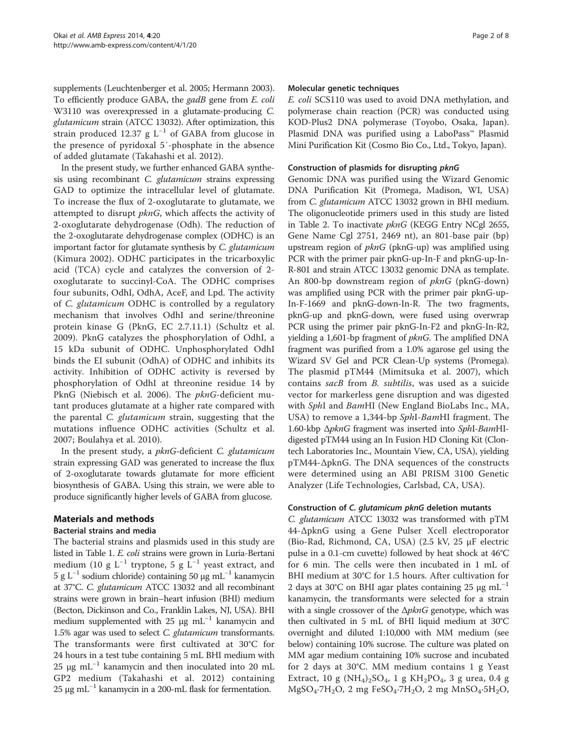supplements (Leuchtenberger et al. [2005;](#page-7-0) Hermann [2003](#page-7-0)). To efficiently produce GABA, the gadB gene from E. coli W3110 was overexpressed in a glutamate-producing C. glutamicum strain (ATCC 13032). After optimization, this strain produced 12.37 g  $L^{-1}$  of GABA from glucose in the presence of pyridoxal 5′-phosphate in the absence of added glutamate (Takahashi et al. [2012\)](#page-7-0).

In the present study, we further enhanced GABA synthesis using recombinant C. glutamicum strains expressing GAD to optimize the intracellular level of glutamate. To increase the flux of 2-oxoglutarate to glutamate, we attempted to disrupt *pknG*, which affects the activity of 2-oxoglutarate dehydrogenase (Odh). The reduction of the 2-oxoglutarate dehydrogenase complex (ODHC) is an important factor for glutamate synthesis by C. glutamicum (Kimura [2002](#page-7-0)). ODHC participates in the tricarboxylic acid (TCA) cycle and catalyzes the conversion of 2 oxoglutarate to succinyl-CoA. The ODHC comprises four subunits, OdhI, OdhA, AceF, and Lpd. The activity of C. glutamicum ODHC is controlled by a regulatory mechanism that involves OdhI and serine/threonine protein kinase G (PknG, EC 2.7.11.1) (Schultz et al. [2009\)](#page-7-0). PknG catalyzes the phosphorylation of OdhI, a 15 kDa subunit of ODHC. Unphosphorylated OdhI binds the EI subunit (OdhA) of ODHC and inhibits its activity. Inhibition of ODHC activity is reversed by phosphorylation of OdhI at threonine residue 14 by PknG (Niebisch et al. [2006\)](#page-7-0). The *pknG-*deficient mutant produces glutamate at a higher rate compared with the parental C. glutamicum strain, suggesting that the mutations influence ODHC activities (Schultz et al. [2007;](#page-7-0) Boulahya et al. [2010](#page-7-0)).

In the present study, a pknG-deficient C. glutamicum strain expressing GAD was generated to increase the flux of 2-oxoglutarate towards glutamate for more efficient biosynthesis of GABA. Using this strain, we were able to produce significantly higher levels of GABA from glucose.

# Materials and methods

# Bacterial strains and media

The bacterial strains and plasmids used in this study are listed in Table [1](#page-2-0). E. coli strains were grown in Luria-Bertani medium (10 g L<sup>-1</sup> tryptone, 5 g L<sup>-1</sup> yeast extract, and 5 g L<sup>-1</sup> sodium chloride) containing 50 μg mL<sup>-1</sup> kanamycin at 37°C. C. glutamicum ATCC 13032 and all recombinant strains were grown in brain–heart infusion (BHI) medium (Becton, Dickinson and Co., Franklin Lakes, NJ, USA). BHI medium supplemented with 25  $\mu$ g mL<sup>-1</sup> kanamycin and 1.5% agar was used to select C. glutamicum transformants. The transformants were first cultivated at 30°C for 24 hours in a test tube containing 5 mL BHI medium with 25 μg mL<sup>-1</sup> kanamycin and then inoculated into 20 mL GP2 medium (Takahashi et al. [2012](#page-7-0)) containing 25 μg mL<sup>-1</sup> kanamycin in a 200-mL flask for fermentation.

#### Molecular genetic techniques

E. coli SCS110 was used to avoid DNA methylation, and polymerase chain reaction (PCR) was conducted using KOD-Plus2 DNA polymerase (Toyobo, Osaka, Japan). Plasmid DNA was purified using a LaboPass™ Plasmid Mini Purification Kit (Cosmo Bio Co., Ltd., Tokyo, Japan).

# Construction of plasmids for disrupting pknG

Genomic DNA was purified using the Wizard Genomic DNA Purification Kit (Promega, Madison, WI, USA) from C. glutamicum ATCC 13032 grown in BHI medium. The oligonucleotide primers used in this study are listed in Table [2](#page-2-0). To inactivate pknG (KEGG Entry NCgl 2655, Gene Name Cgl 2751, 2469 nt), an 801-base pair (bp) upstream region of  $pknG$  (pknG-up) was amplified using PCR with the primer pair pknG-up-In-F and pknG-up-In-R-801 and strain ATCC 13032 genomic DNA as template. An 800-bp downstream region of *pknG* (pknG-down) was amplified using PCR with the primer pair pknG-up-In-F-1669 and pknG-down-In-R. The two fragments, pknG-up and pknG-down, were fused using overwrap PCR using the primer pair pknG-In-F2 and pknG-In-R2, yielding a 1,601-bp fragment of *pknG*. The amplified DNA fragment was purified from a 1.0% agarose gel using the Wizard SV Gel and PCR Clean-Up systems (Promega). The plasmid pTM44 (Mimitsuka et al. [2007\)](#page-7-0), which contains sacB from B. subtilis, was used as a suicide vector for markerless gene disruption and was digested with SphI and BamHI (New England BioLabs Inc., MA, USA) to remove a 1,344-bp SphI-BamHI fragment. The 1.60-kbp ΔpknG fragment was inserted into SphI-BamHIdigested pTM44 using an In Fusion HD Cloning Kit (Clontech Laboratories Inc., Mountain View, CA, USA), yielding pTM44-ΔpknG. The DNA sequences of the constructs were determined using an ABI PRISM 3100 Genetic Analyzer (Life Technologies, Carlsbad, CA, USA).

# Construction of C. glutamicum pknG deletion mutants

C. glutamicum ATCC 13032 was transformed with pTM 44-ΔpknG using a Gene Pulser Xcell electroporator (Bio-Rad, Richmond, CA, USA) (2.5 kV, 25 μF electric pulse in a 0.1-cm cuvette) followed by heat shock at 46°C for 6 min. The cells were then incubated in 1 mL of BHI medium at 30°C for 1.5 hours. After cultivation for 2 days at 30°C on BHI agar plates containing 25  $\mu$ g mL<sup>-1</sup> kanamycin, the transformants were selected for a strain with a single crossover of the  $\Delta p k n G$  genotype, which was then cultivated in 5 mL of BHI liquid medium at 30°C overnight and diluted 1:10,000 with MM medium (see below) containing 10% sucrose. The culture was plated on MM agar medium containing 10% sucrose and incubated for 2 days at 30°C. MM medium contains 1 g Yeast Extract, 10 g (NH<sub>4</sub>)<sub>2</sub>SO<sub>4</sub>, 1 g KH<sub>2</sub>PO<sub>4</sub>, 3 g urea, 0.4 g MgSO4∙7H2O, 2 mg FeSO4∙7H2O, 2 mg MnSO4∙5H2O,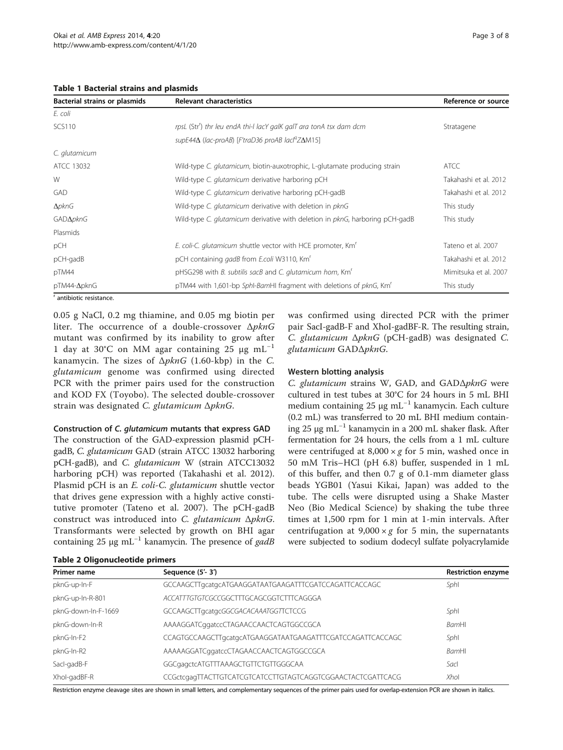<span id="page-2-0"></span>

|  | <b>Table 1 Bacterial strains and plasmids</b> |  |  |  |
|--|-----------------------------------------------|--|--|--|
|--|-----------------------------------------------|--|--|--|

| Bacterial strains or plasmids | <b>Relevant characteristics</b>                                                 | Reference or source   |
|-------------------------------|---------------------------------------------------------------------------------|-----------------------|
| E. coli                       |                                                                                 |                       |
| <b>SCS110</b>                 | rpsL (Str <sup>r</sup> ) thr leu endA thi-I lacY galK galT ara tonA tsx dam dcm | Stratagene            |
|                               | supE44Δ (lac-proAB) [F'traD36 proAB lacl <sup>q</sup> ZΔM15]                    |                       |
| C. glutamicum                 |                                                                                 |                       |
| ATCC 13032                    | Wild-type C. glutamicum, biotin-auxotrophic, L-glutamate producing strain       | <b>ATCC</b>           |
| W                             | Wild-type C. glutamicum derivative harboring pCH                                | Takahashi et al. 2012 |
| GAD                           | Wild-type C. glutamicum derivative harboring pCH-gadB                           | Takahashi et al. 2012 |
| $\Delta p$ knG                | Wild-type C. glutamicum derivative with deletion in pknG                        | This study            |
| GAD $\Delta$ pknG             | Wild-type C. glutamicum derivative with deletion in pknG, harboring pCH-gadB    | This study            |
| Plasmids                      |                                                                                 |                       |
| pCH                           | E. coli-C. glutamicum shuttle vector with HCE promoter, Km <sup>r</sup>         | Tateno et al. 2007    |
| pCH-gadB                      | pCH containing gadB from E.coli W3110, Km <sup>r</sup>                          | Takahashi et al. 2012 |
| pTM44                         | pHSG298 with B. subtilis sacB and C. glutamicum hom, Km'                        | Mimitsuka et al. 2007 |
| $pTM44-\Delta pknG$           | pTM44 with 1,601-bp Sphl-BamHI fragment with deletions of pknG, Km <sup>r</sup> | This study            |

<sup>r</sup> antibiotic resistance.

0.05 g NaCl, 0.2 mg thiamine, and 0.05 mg biotin per liter. The occurrence of a double-crossover ΔpknG mutant was confirmed by its inability to grow after 1 day at 30°C on MM agar containing 25 μg mL<sup>-1</sup> kanamycin. The sizes of  $\Delta p k n G$  (1.60-kbp) in the C. glutamicum genome was confirmed using directed PCR with the primer pairs used for the construction and KOD FX (Toyobo). The selected double-crossover strain was designated C. glutamicum ΔpknG.

#### Construction of C. glutamicum mutants that express GAD

The construction of the GAD-expression plasmid pCHgadB, C. glutamicum GAD (strain ATCC 13032 harboring pCH-gadB), and C. glutamicum W (strain ATCC13032 harboring pCH) was reported (Takahashi et al. [2012](#page-7-0)). Plasmid pCH is an E. coli-C. glutamicum shuttle vector that drives gene expression with a highly active constitutive promoter (Tateno et al. [2007\)](#page-7-0). The pCH-gadB construct was introduced into C. glutamicum ΔpknG. Transformants were selected by growth on BHI agar containing 25 μg mL<sup>-1</sup> kanamycin. The presence of *gadB* 

Table 2 Oligonucleotide primers

| was confirmed using directed PCR with the primer         |  |  |  |  |
|----------------------------------------------------------|--|--|--|--|
| pair SacI-gadB-F and XhoI-gadBF-R. The resulting strain, |  |  |  |  |
| C. glutamicum ApknG (pCH-gadB) was designated C.         |  |  |  |  |
| glutamicum GAD $\Delta p$ knG.                           |  |  |  |  |
|                                                          |  |  |  |  |

# Western blotting analysis

C. glutamicum strains W, GAD, and GADΔpknG were cultured in test tubes at 30°C for 24 hours in 5 mL BHI medium containing 25 μg mL<sup>-1</sup> kanamycin. Each culture (0.2 mL) was transferred to 20 mL BHI medium containing 25 μg mL−<sup>1</sup> kanamycin in a 200 mL shaker flask. After fermentation for 24 hours, the cells from a 1 mL culture were centrifuged at  $8,000 \times g$  for 5 min, washed once in 50 mM Tris–HCl (pH 6.8) buffer, suspended in 1 mL of this buffer, and then 0.7 g of 0.1-mm diameter glass beads YGB01 (Yasui Kikai, Japan) was added to the tube. The cells were disrupted using a Shake Master Neo (Bio Medical Science) by shaking the tube three times at 1,500 rpm for 1 min at 1-min intervals. After centrifugation at  $9,000 \times g$  for 5 min, the supernatants were subjected to sodium dodecyl sulfate polyacrylamide

| Primer name         | Sequence (5'-3')                                            | <b>Restriction enzyme</b> |
|---------------------|-------------------------------------------------------------|---------------------------|
| pknG-up-In-F        | GCCAAGCTTgcatgcATGAAGGATAATGAAGATTTCGATCCAGATTCACCAGC       | Sphl                      |
| pknG-up-In-R-801    | ACCATTTGTGTCGCCGGCTTTGCAGCGGTCTTTCAGGGA                     |                           |
| pknG-down-In-F-1669 | GCCAAGCTTgcatgcGGCGACACAAATGGTTCTCCG                        | Sphl                      |
| pknG-down-In-R      | AAAAGGATCggatccCTAGAACCAACTCAGTGGCCGCA                      | BamHI                     |
| pknG-In-F2          | CCAGTGCCAAGCTTgcatgcATGAAGGATAATGAAGATTTCGATCCAGATTCACCAGC  | Sphl                      |
| pknG-In-R2          | AAAAAGGATCggatccCTAGAACCAACTCAGTGGCCGCA                     | <b>BamHI</b>              |
| Sacl-gadB-F         | GGCgagctcATGTTTAAAGCTGTTCTGTTGGGCAA                         | Sacl                      |
| Xhol-gadBF-R        | CCGctcqaqTTACTTGTCATCGTCATCCTTGTAGTCAGGTCGGAACTACTCGATTCACG | Xhol                      |

Restriction enzyme cleavage sites are shown in small letters, and complementary sequences of the primer pairs used for overlap-extension PCR are shown in italics.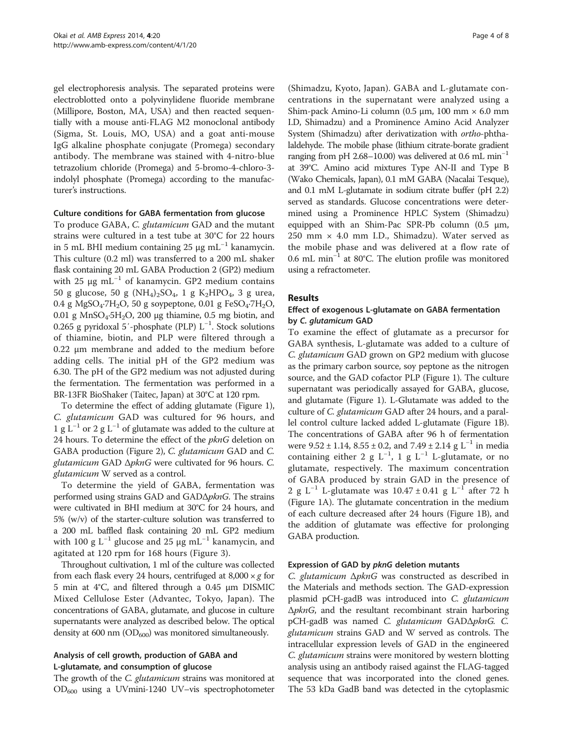gel electrophoresis analysis. The separated proteins were electroblotted onto a polyvinylidene fluoride membrane (Millipore, Boston, MA, USA) and then reacted sequentially with a mouse anti-FLAG M2 monoclonal antibody (Sigma, St. Louis, MO, USA) and a goat anti-mouse IgG alkaline phosphate conjugate (Promega) secondary antibody. The membrane was stained with 4-nitro-blue tetrazolium chloride (Promega) and 5-bromo-4-chloro-3 indolyl phosphate (Promega) according to the manufacturer's instructions.

#### Culture conditions for GABA fermentation from glucose

To produce GABA, C. glutamicum GAD and the mutant strains were cultured in a test tube at 30°C for 22 hours in 5 mL BHI medium containing 25 μg mL<sup>-1</sup> kanamycin. This culture (0.2 ml) was transferred to a 200 mL shaker flask containing 20 mL GABA Production 2 (GP2) medium with 25 μg mL<sup>-1</sup> of kanamycin. GP2 medium contains 50 g glucose, 50 g (NH<sub>4</sub>)<sub>2</sub>SO<sub>4</sub>, 1 g K<sub>2</sub>HPO<sub>4</sub>, 3 g urea, 0.4 g MgSO<sub>4</sub>⋅7H<sub>2</sub>O, 50 g soypeptone, 0.01 g FeSO<sub>4</sub>⋅7H<sub>2</sub>O, 0.01 g MnSO<sub>4</sub>⋅5H<sub>2</sub>O, 200 μg thiamine, 0.5 mg biotin, and 0.265 g pyridoxal 5′-phosphate (PLP) L−<sup>1</sup> . Stock solutions of thiamine, biotin, and PLP were filtered through a 0.22 μm membrane and added to the medium before adding cells. The initial pH of the GP2 medium was 6.30. The pH of the GP2 medium was not adjusted during the fermentation. The fermentation was performed in a BR-13FR BioShaker (Taitec, Japan) at 30°C at 120 rpm.

To determine the effect of adding glutamate (Figure [1](#page-4-0)), C. glutamicum GAD was cultured for 96 hours, and 1 g L<sup>-1</sup> or 2 g L<sup>-1</sup> of glutamate was added to the culture at 24 hours. To determine the effect of the pknG deletion on GABA production (Figure [2\)](#page-4-0), C. glutamicum GAD and C. glutamicum GAD ΔpknG were cultivated for 96 hours. C. glutamicum W served as a control.

To determine the yield of GABA, fermentation was performed using strains GAD and  $GAD\Delta pknG$ . The strains were cultivated in BHI medium at 30°C for 24 hours, and 5% (w/v) of the starter-culture solution was transferred to a 200 mL baffled flask containing 20 mL GP2 medium with 100 g L<sup>-1</sup> glucose and 25 μg mL<sup>-1</sup> kanamycin, and agitated at 120 rpm for 168 hours (Figure [3\)](#page-5-0).

Throughout cultivation, 1 ml of the culture was collected from each flask every 24 hours, centrifuged at  $8,000 \times g$  for 5 min at 4°C, and filtered through a 0.45 μm DISMIC Mixed Cellulose Ester (Advantec, Tokyo, Japan). The concentrations of GABA, glutamate, and glucose in culture supernatants were analyzed as described below. The optical density at 600 nm  $(OD_{600})$  was monitored simultaneously.

# Analysis of cell growth, production of GABA and L-glutamate, and consumption of glucose

The growth of the *C. glutamicum* strains was monitored at OD600 using a UVmini-1240 UV–vis spectrophotometer

(Shimadzu, Kyoto, Japan). GABA and L-glutamate concentrations in the supernatant were analyzed using a Shim-pack Amino-Li column (0.5 μm, 100 mm × 6.0 mm I.D, Shimadzu) and a Prominence Amino Acid Analyzer System (Shimadzu) after derivatization with ortho-phthalaldehyde. The mobile phase (lithium citrate-borate gradient ranging from pH 2.68–10.00) was delivered at 0.6 mL min<sup>-1</sup> at 39°C. Amino acid mixtures Type AN-II and Type B (Wako Chemicals, Japan), 0.1 mM GABA (Nacalai Tesque), and 0.1 mM L-glutamate in sodium citrate buffer (pH 2.2) served as standards. Glucose concentrations were determined using a Prominence HPLC System (Shimadzu) equipped with an Shim-Pac SPR-Pb column (0.5 μm,  $250$  mm  $\times$  4.0 mm I.D., Shimadzu). Water served as the mobile phase and was delivered at a flow rate of 0.6 mL min−<sup>1</sup> at 80°C. The elution profile was monitored using a refractometer.

#### Results

# Effect of exogenous L-glutamate on GABA fermentation by C. glutamicum GAD

To examine the effect of glutamate as a precursor for GABA synthesis, L-glutamate was added to a culture of C. glutamicum GAD grown on GP2 medium with glucose as the primary carbon source, soy peptone as the nitrogen source, and the GAD cofactor PLP (Figure [1](#page-4-0)). The culture supernatant was periodically assayed for GABA, glucose, and glutamate (Figure [1\)](#page-4-0). L-Glutamate was added to the culture of C. glutamicum GAD after 24 hours, and a parallel control culture lacked added L-glutamate (Figure [1B](#page-4-0)). The concentrations of GABA after 96 h of fermentation were  $9.52 \pm 1.14$ ,  $8.55 \pm 0.2$ , and  $7.49 \pm 2.14$  g L<sup>-1</sup> in media containing either 2 g L<sup>-1</sup>, 1 g L<sup>-1</sup> L-glutamate, or no glutamate, respectively. The maximum concentration of GABA produced by strain GAD in the presence of 2 g L<sup>-1</sup> L-glutamate was  $10.47 \pm 0.41$  g L<sup>-1</sup> after 72 h (Figure [1A](#page-4-0)). The glutamate concentration in the medium of each culture decreased after 24 hours (Figure [1B](#page-4-0)), and the addition of glutamate was effective for prolonging GABA production.

#### Expression of GAD by pknG deletion mutants

C. glutamicum ΔpknG was constructed as described in the Materials and methods section. The GAD-expression plasmid pCH-gadB was introduced into C. glutamicum ΔpknG, and the resultant recombinant strain harboring pCH-gadB was named C. glutamicum GADΔpknG. C. glutamicum strains GAD and W served as controls. The intracellular expression levels of GAD in the engineered C. glutamicum strains were monitored by western blotting analysis using an antibody raised against the FLAG-tagged sequence that was incorporated into the cloned genes. The 53 kDa GadB band was detected in the cytoplasmic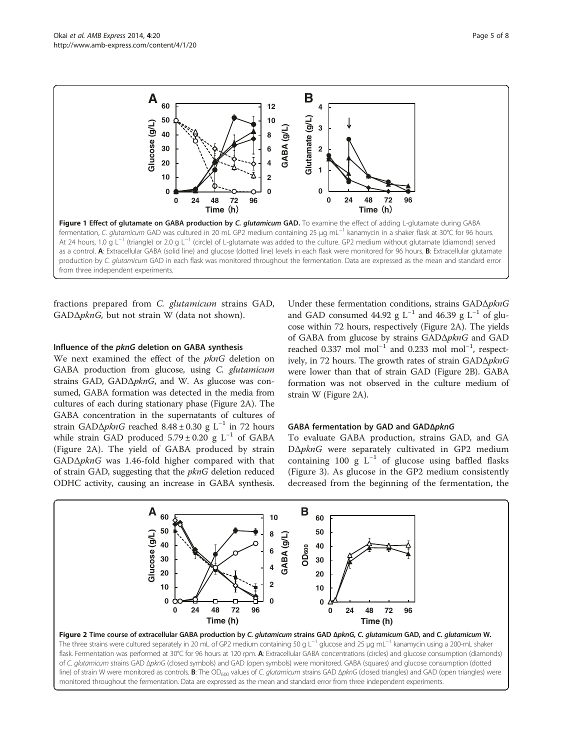<span id="page-4-0"></span>

fractions prepared from C. glutamicum strains GAD, GADΔpknG, but not strain W (data not shown).

#### Influence of the pknG deletion on GABA synthesis

We next examined the effect of the pknG deletion on GABA production from glucose, using C. glutamicum strains GAD, GADΔpknG, and W. As glucose was consumed, GABA formation was detected in the media from cultures of each during stationary phase (Figure 2A). The GABA concentration in the supernatants of cultures of strain GAD $\Delta p k n$ G reached 8.48 ± 0.30 g L<sup>-1</sup> in 72 hours while strain GAD produced  $5.79 \pm 0.20$  g L<sup>-1</sup> of GABA (Figure 2A). The yield of GABA produced by strain GADΔpknG was 1.46-fold higher compared with that of strain GAD, suggesting that the pknG deletion reduced ODHC activity, causing an increase in GABA synthesis. Under these fermentation conditions, strains GADΔpknG and GAD consumed 44.92 g L<sup>-1</sup> and 46.39 g L<sup>-1</sup> of glucose within 72 hours, respectively (Figure 2A). The yields of GABA from glucose by strains GADΔpknG and GAD reached 0.337 mol mol<sup>-1</sup> and 0.233 mol mol<sup>-1</sup>, respectively, in 72 hours. The growth rates of strain GADΔpknG were lower than that of strain GAD (Figure 2B). GABA formation was not observed in the culture medium of strain W (Figure 2A).

#### GABA fermentation by GAD and GADΔpknG

To evaluate GABA production, strains GAD, and GA DΔpknG were separately cultivated in GP2 medium containing 100 g  $L^{-1}$  of glucose using baffled flasks (Figure [3\)](#page-5-0). As glucose in the GP2 medium consistently decreased from the beginning of the fermentation, the

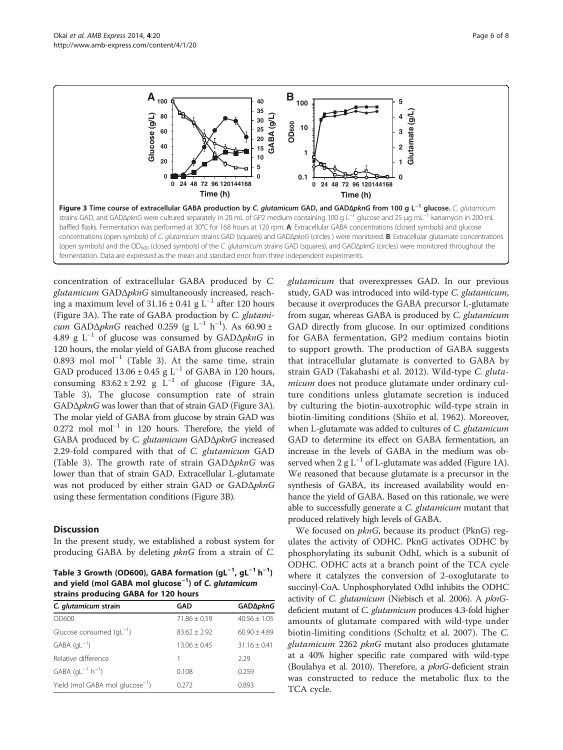<span id="page-5-0"></span>

concentration of extracellular GABA produced by C. glutamicum GADΔpknG simultaneously increased, reaching a maximum level of  $31.16 \pm 0.41$  g L<sup>-1</sup> after 120 hours (Figure 3A). The rate of GABA production by C. glutamicum GAD∆pknG reached 0.259 (g L<sup>-1</sup> h<sup>-1</sup>). As 60.90 ± 4.89 g L<sup>-1</sup> of glucose was consumed by GAD $\Delta p$ *knG* in 120 hours, the molar yield of GABA from glucose reached 0.893 mol mol−<sup>1</sup> (Table 3). At the same time, strain GAD produced  $13.06 \pm 0.45$  g L<sup>-1</sup> of GABA in 120 hours, consuming  $83.62 \pm 2.92$  g L<sup>-1</sup> of glucose (Figure 3A, Table 3), The glucose consumption rate of strain GADΔpknG was lower than that of strain GAD (Figure 3A). The molar yield of GABA from glucose by strain GAD was 0.272 mol mol−<sup>1</sup> in 120 hours. Therefore, the yield of GABA produced by C. glutamicum GADΔpknG increased 2.29-fold compared with that of C. glutamicum GAD (Table 3). The growth rate of strain  $GAD\Delta pknG$  was lower than that of strain GAD. Extracellular L-glutamate was not produced by either strain GAD or GADΔpknG using these fermentation conditions (Figure 3B).

# **Discussion**

In the present study, we established a robust system for producing GABA by deleting pknG from a strain of C.

Table 3 Growth (OD600), GABA formation (gL $^{-1}$ , gL $^{-1}$  h $^{-1}$ ) and yield (mol GABA mol glucose<sup>−1</sup>) of *C. glutamicum*<br>strains producing GABA for 120 bours strains producing GABA for 120 hours

| C. glutamicum strain                           | GAD            | GAD∆pknG         |
|------------------------------------------------|----------------|------------------|
| OD600                                          | $71.86 + 0.59$ | $40.56 + 1.05$   |
| Glucose consumed $\left(\text{gl}^{-1}\right)$ | $83.62 + 2.92$ | $60.90 \pm 4.89$ |
| $GABA$ (qL <sup>-1</sup> )                     | $13.06 + 0.45$ | $31.16 + 0.41$   |
| Relative difference                            | 1              | 2.29             |
| $GABA$ (gL <sup>-1</sup> h <sup>-1</sup> )     | 0.108          | 0.259            |
| Yield (mol GABA mol glucose <sup>-1</sup> )    | 0.272          | 0.893            |

glutamicum that overexpresses GAD. In our previous study, GAD was introduced into wild-type C. glutamicum, because it overproduces the GABA precursor L-glutamate from sugar, whereas GABA is produced by C. glutamicum GAD directly from glucose. In our optimized conditions for GABA fermentation, GP2 medium contains biotin to support growth. The production of GABA suggests that intracellular glutamate is converted to GABA by strain GAD (Takahashi et al. [2012](#page-7-0)). Wild-type C. glutamicum does not produce glutamate under ordinary culture conditions unless glutamate secretion is induced by culturing the biotin-auxotrophic wild-type strain in biotin-limiting conditions (Shiio et al. [1962\)](#page-7-0). Moreover, when L-glutamate was added to cultures of C. glutamicum GAD to determine its effect on GABA fermentation, an increase in the levels of GABA in the medium was observed when 2 g  $L^{-1}$  of L-glutamate was added (Figure [1A](#page-4-0)). We reasoned that because glutamate is a precursor in the synthesis of GABA, its increased availability would enhance the yield of GABA. Based on this rationale, we were able to successfully generate a C. glutamicum mutant that produced relatively high levels of GABA.

We focused on *pknG*, because its product (PknG) regulates the activity of ODHC. PknG activates ODHC by phosphorylating its subunit OdhI, which is a subunit of ODHC. ODHC acts at a branch point of the TCA cycle where it catalyzes the conversion of 2-oxoglutarate to succinyl-CoA. Unphosphorylated OdhI inhibits the ODHC activity of *C. glutamicum* (Niebisch et al. [2006](#page-7-0)). A *pknG*deficient mutant of C. glutamicum produces 4.3-fold higher amounts of glutamate compared with wild-type under biotin-limiting conditions (Schultz et al. [2007\)](#page-7-0). The C. glutamicum 2262 pknG mutant also produces glutamate at a 40% higher specific rate compared with wild-type (Boulahya et al. [2010\)](#page-7-0). Therefore, a  $pknG$ -deficient strain was constructed to reduce the metabolic flux to the TCA cycle.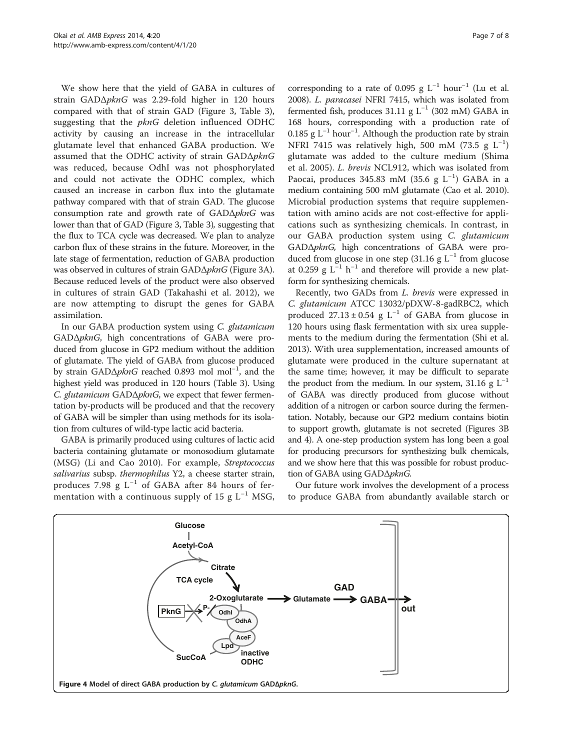We show here that the yield of GABA in cultures of strain GADΔpknG was 2.29-fold higher in 120 hours compared with that of strain GAD (Figure [3,](#page-5-0) Table [3](#page-5-0)), suggesting that the pknG deletion influenced ODHC activity by causing an increase in the intracellular glutamate level that enhanced GABA production. We assumed that the ODHC activity of strain GADΔpknG was reduced, because OdhI was not phosphorylated and could not activate the ODHC complex, which caused an increase in carbon flux into the glutamate pathway compared with that of strain GAD. The glucose consumption rate and growth rate of GADΔpknG was lower than that of GAD (Figure [3,](#page-5-0) Table [3](#page-5-0)), suggesting that the flux to TCA cycle was decreased. We plan to analyze carbon flux of these strains in the future. Moreover, in the late stage of fermentation, reduction of GABA production was observed in cultures of strain GADΔpknG (Figure [3A](#page-5-0)). Because reduced levels of the product were also observed in cultures of strain GAD (Takahashi et al. [2012](#page-7-0)), we are now attempting to disrupt the genes for GABA assimilation.

In our GABA production system using C. glutamicum GADΔpknG, high concentrations of GABA were produced from glucose in GP2 medium without the addition of glutamate. The yield of GABA from glucose produced by strain GADΔ*pknG* reached 0.893 mol mol<sup>-1</sup>, and the highest yield was produced in 120 hours (Table [3\)](#page-5-0). Using C. glutamicum GADΔpknG, we expect that fewer fermentation by-products will be produced and that the recovery of GABA will be simpler than using methods for its isolation from cultures of wild-type lactic acid bacteria.

GABA is primarily produced using cultures of lactic acid bacteria containing glutamate or monosodium glutamate (MSG) (Li and Cao [2010\)](#page-7-0). For example, Streptococcus salivarius subsp. thermophilus Y2, a cheese starter strain, produces 7.98 g  $L^{-1}$  of GABA after 84 hours of fermentation with a continuous supply of 15 g  $L^{-1}$  MSG,

corresponding to a rate of 0.095 g  $L^{-1}$  hour<sup>-1</sup> (Lu et al. [2008](#page-7-0)). L. paracasei NFRI 7415, which was isolated from fermented fish, produces 31.11 g  $L^{-1}$  (302 mM) GABA in 168 hours, corresponding with a production rate of 0.185 g L−<sup>1</sup> hour−<sup>1</sup> . Although the production rate by strain NFRI 7415 was relatively high, 500 mM (73.5 g  $L^{-1}$ ) glutamate was added to the culture medium (Shima et al. [2005](#page-7-0)). L. brevis NCL912, which was isolated from Paocai, produces 345.83 mM (35.6 g L<sup>-1</sup>) GABA in a medium containing 500 mM glutamate (Cao et al. [2010](#page-7-0)). Microbial production systems that require supplementation with amino acids are not cost-effective for applications such as synthesizing chemicals. In contrast, in our GABA production system using C. glutamicum GADΔpknG, high concentrations of GABA were produced from glucose in one step (31.16 g  $L^{-1}$  from glucose at 0.259 g  $L^{-1}$  h<sup>-1</sup> and therefore will provide a new platform for synthesizing chemicals.

Recently, two GADs from L. brevis were expressed in C. glutamicum ATCC 13032/pDXW-8-gadRBC2, which produced  $27.13 \pm 0.54$  g L<sup>-1</sup> of GABA from glucose in 120 hours using flask fermentation with six urea supplements to the medium during the fermentation (Shi et al. [2013](#page-7-0)). With urea supplementation, increased amounts of glutamate were produced in the culture supernatant at the same time; however, it may be difficult to separate the product from the medium. In our system, 31.16 g  $L^{-1}$ of GABA was directly produced from glucose without addition of a nitrogen or carbon source during the fermentation. Notably, because our GP2 medium contains biotin to support growth, glutamate is not secreted (Figures [3B](#page-5-0) and 4). A one-step production system has long been a goal for producing precursors for synthesizing bulk chemicals, and we show here that this was possible for robust production of GABA using GADΔpknG.

Our future work involves the development of a process to produce GABA from abundantly available starch or